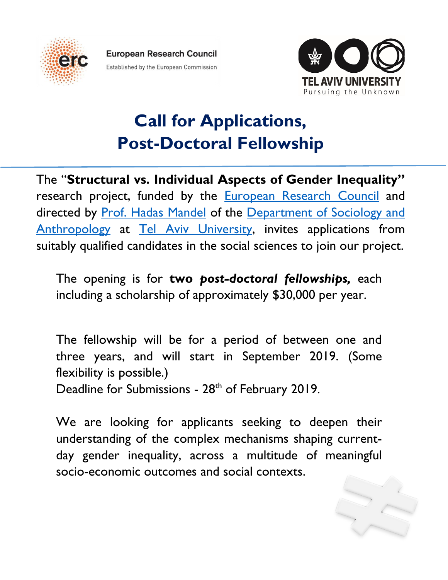

**European Research Council** Established by the European Commission



## **Call for Applications, Post-Doctoral Fellowship**

The "**Structural vs. Individual Aspects of Gender Inequality"** research project, funded by the **[European Research Council](https://erc.europa.eu/about-erc/mission)** and directed by [Prof. Hadas Mandel](http://people.socsci.tau.ac.il/mu/hadasm/) of the [Department of Sociology](https://en-social-sciences.tau.ac.il/soc-ant) and Anthropology at [Tel Aviv University,](https://english.tau.ac.il/) invites applications from suitably qualified candidates in the social sciences to join our project.

The opening is for **two** *post-doctoral fellowships,* each including a scholarship of approximately \$30,000 per year.

The fellowship will be for a period of between one and three years, and will start in September 2019. (Some flexibility is possible.)

Deadline for Submissions - 28<sup>th</sup> of February 2019.

We are looking for applicants seeking to deepen their understanding of the complex mechanisms shaping currentday gender inequality, across a multitude of meaningful socio-economic outcomes and social contexts.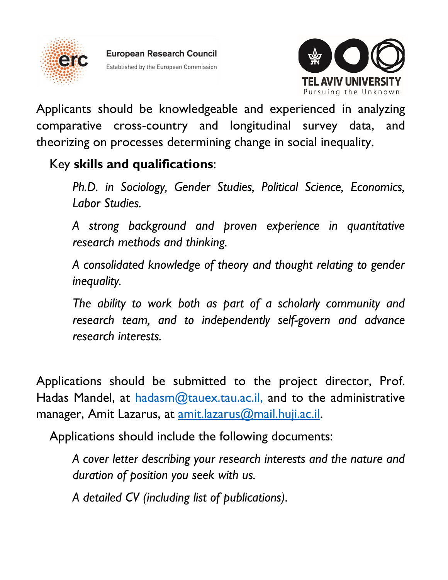



Applicants should be knowledgeable and experienced in analyzing comparative cross-country and longitudinal survey data, and theorizing on processes determining change in social inequality.

## Key **skills and qualifications**:

*Ph.D. in Sociology, Gender Studies, Political Science, Economics, Labor Studies.*

*A strong background and proven experience in quantitative research methods and thinking.*

*A consolidated knowledge of theory and thought relating to gender inequality.*

*The ability to work both as part of a scholarly community and research team, and to independently self-govern and advance research interests.*

Applications should be submitted to the project director, Prof. Hadas Mandel, at [hadasm@tauex.tau.ac.il,](mailto:hadasm@tauex.tau.ac.il) and to the administrative manager, Amit Lazarus, at **[amit.lazarus@mail.huji.ac.il.](mailto:amit.lazarus@mail.huji.ac.il)** 

Applications should include the following documents:

*A cover letter describing your research interests and the nature and duration of position you seek with us.*

*A detailed CV (including list of publications).*